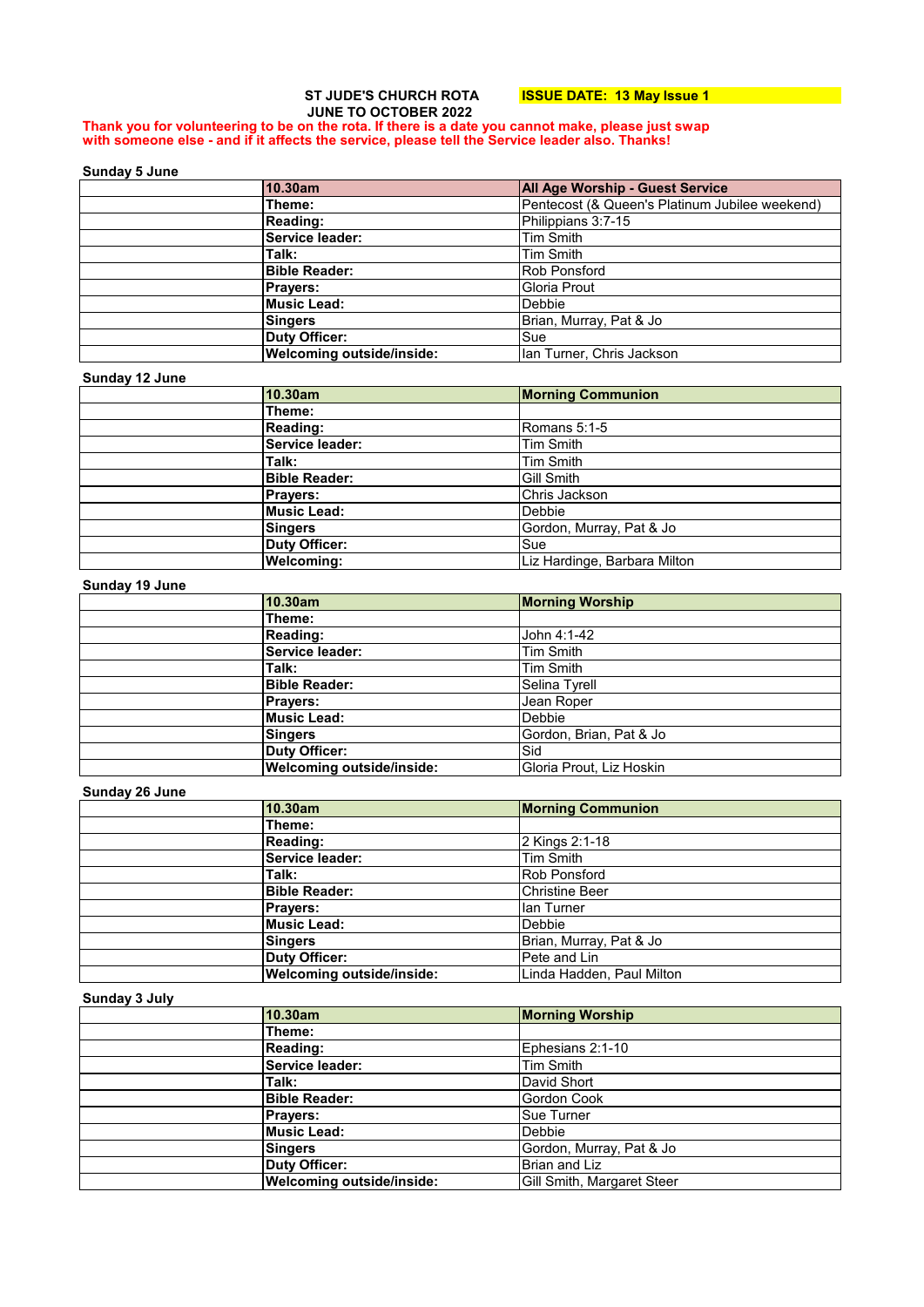# **ST JUDE'S CHURCH ROTA ISSUE DATE: 13 May Issue 1 JUNE TO OCTOBER 2022**

#### **Thank you for volunteering to be on the rota. If there is a date you cannot make, please just swap with someone else - and if it affects the service, please tell the Service leader also. Thanks!**

#### **Sunday 5 June**

| 10.30am                          | <b>All Age Worship - Guest Service</b>         |
|----------------------------------|------------------------------------------------|
| Theme:                           | Pentecost (& Queen's Platinum Jubilee weekend) |
| <b>Reading:</b>                  | Philippians 3:7-15                             |
| Service leader:                  | Tim Smith                                      |
| Talk:                            | <b>Tim Smith</b>                               |
| <b>Bible Reader:</b>             | <b>Rob Ponsford</b>                            |
| <b>Prayers:</b>                  | Gloria Prout                                   |
| Music Lead:                      | Debbie                                         |
| Singers                          | Brian, Murray, Pat & Jo                        |
| <b>Duty Officer:</b>             | Sue                                            |
| <b>Welcoming outside/inside:</b> | Ian Turner, Chris Jackson                      |

#### **Sunday 12 June**

| 10.30am              | <b>Morning Communion</b>     |
|----------------------|------------------------------|
| Theme:               |                              |
| Reading:             | Romans 5:1-5                 |
| Service leader:      | <b>Tim Smith</b>             |
| Talk:                | Tim Smith                    |
| <b>Bible Reader:</b> | Gill Smith                   |
| <b>Prayers:</b>      | Chris Jackson                |
| <b>Music Lead:</b>   | <b>Debbie</b>                |
| Singers              | Gordon, Murray, Pat & Jo     |
| <b>Duty Officer:</b> | Sue                          |
| <b>Welcoming:</b>    | Liz Hardinge, Barbara Milton |

## **Sunday 19 June**

| 10.30am                   | <b>Morning Worship</b>   |
|---------------------------|--------------------------|
| Theme:                    |                          |
| <b>Reading:</b>           | John 4:1-42              |
| Service leader:           | <b>Tim Smith</b>         |
| Talk:                     | Tim Smith                |
| <b>Bible Reader:</b>      | Selina Tyrell            |
| <b>Prayers:</b>           | Jean Roper               |
| <b>Music Lead:</b>        | Debbie                   |
| Singers                   | Gordon, Brian, Pat & Jo  |
| <b>Duty Officer:</b>      | Sid                      |
| Welcoming outside/inside: | Gloria Prout, Liz Hoskin |

#### **Sunday 26 June**

| 10.30am                   | <b>Morning Communion</b>  |
|---------------------------|---------------------------|
| Theme:                    |                           |
| Reading:                  | 2 Kings 2:1-18            |
| Service leader:           | Tim Smith                 |
| Talk:                     | <b>Rob Ponsford</b>       |
| <b>Bible Reader:</b>      | <b>Christine Beer</b>     |
| <b>Prayers:</b>           | lan Turner                |
| <b>Music Lead:</b>        | <b>Debbie</b>             |
| Singers                   | Brian, Murray, Pat & Jo   |
| <b>Duty Officer:</b>      | Pete and Lin              |
| Welcoming outside/inside: | Linda Hadden, Paul Milton |

#### **Sunday 3 July**

| www.wwy.www. |                                  |                            |
|--------------|----------------------------------|----------------------------|
|              | 10.30am                          | <b>Morning Worship</b>     |
|              | Theme:                           |                            |
|              | Reading:                         | Ephesians 2:1-10           |
|              | Service leader:                  | Tim Smith                  |
|              | Talk:                            | David Short                |
|              | <b>Bible Reader:</b>             | Gordon Cook                |
|              | <b>Prayers:</b>                  | <b>Sue Turner</b>          |
|              | <b>Music Lead:</b>               | <b>Debbie</b>              |
|              | Singers                          | Gordon, Murray, Pat & Jo   |
|              | <b>Duty Officer:</b>             | Brian and Liz              |
|              | <b>Welcoming outside/inside:</b> | Gill Smith, Margaret Steer |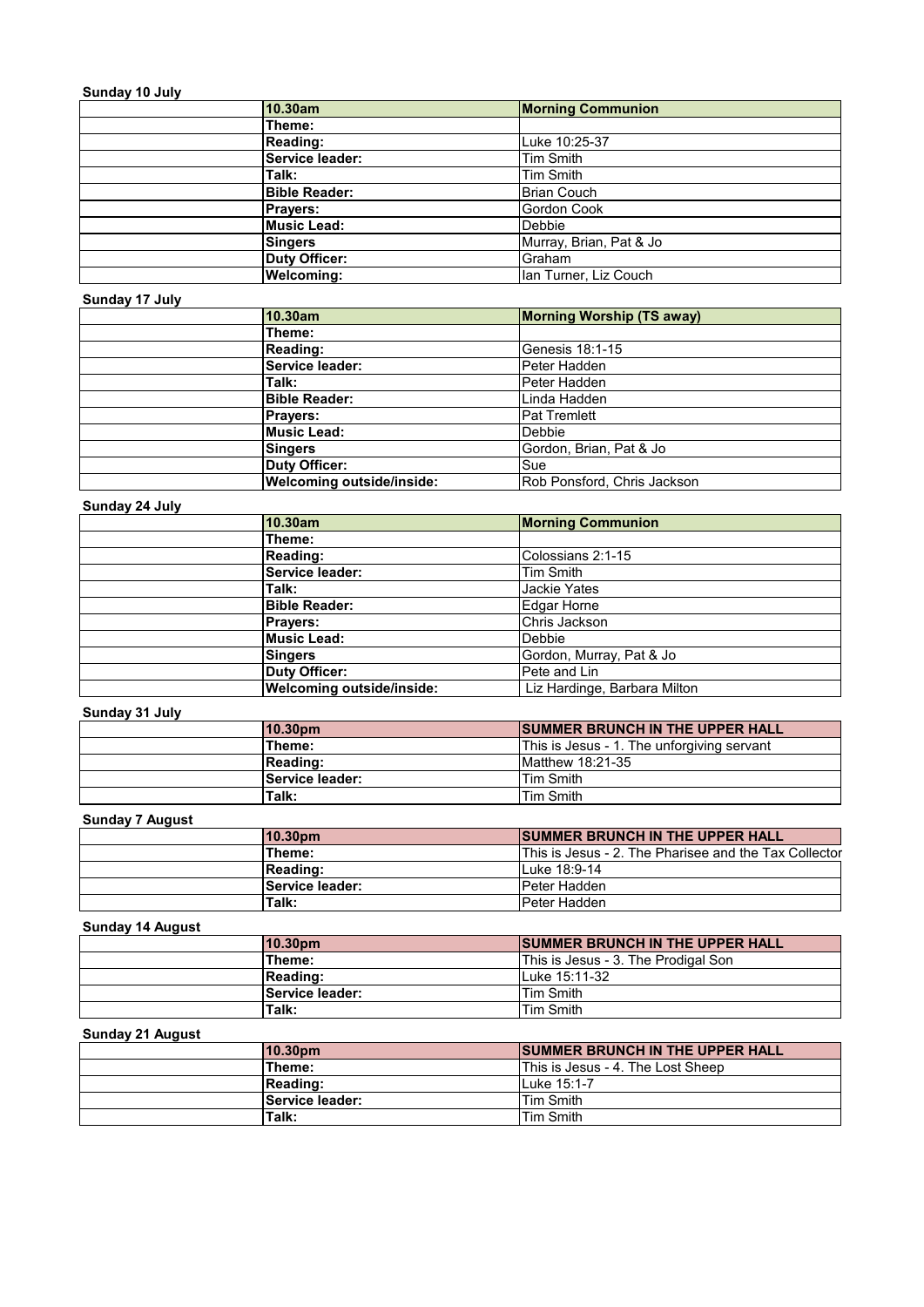# **Sunday 10 July**

| 10.30am         |                      | <b>Morning Communion</b> |
|-----------------|----------------------|--------------------------|
| Theme:          |                      |                          |
| Reading:        |                      | Luke 10:25-37            |
|                 | Service leader:      | Tim Smith                |
| Talk:           |                      | Tim Smith                |
|                 | <b>Bible Reader:</b> | Brian Couch              |
| <b>Prayers:</b> |                      | Gordon Cook              |
|                 | <b>Music Lead:</b>   | <b>Debbie</b>            |
| Singers         |                      | Murray, Brian, Pat & Jo  |
|                 | <b>Duty Officer:</b> | Graham                   |
|                 | <b>Welcoming:</b>    | Ian Turner, Liz Couch    |

# **Sunday 17 July**

| 10.30am                          | <b>Morning Worship (TS away)</b> |
|----------------------------------|----------------------------------|
| Theme:                           |                                  |
| Reading:                         | Genesis 18:1-15                  |
| Service leader:                  | Peter Hadden                     |
| Talk:                            | Peter Hadden                     |
| <b>Bible Reader:</b>             | Linda Hadden                     |
| <b>Prayers:</b>                  | <b>Pat Tremlett</b>              |
| Music Lead:                      | <b>Debbie</b>                    |
| <b>Singers</b>                   | Gordon, Brian, Pat & Jo          |
| <b>Duty Officer:</b>             | Sue                              |
| <b>Welcoming outside/inside:</b> | Rob Ponsford, Chris Jackson      |

# **Sunday 24 July**

| 10.30am                          | <b>Morning Communion</b>     |
|----------------------------------|------------------------------|
| Theme:                           |                              |
| <b>Reading:</b>                  | Colossians 2:1-15            |
| Service leader:                  | Tim Smith                    |
| Talk:                            | <b>Jackie Yates</b>          |
| <b>Bible Reader:</b>             | Edgar Horne                  |
| <b>Prayers:</b>                  | Chris Jackson                |
| <b>Music Lead:</b>               | Debbie                       |
| Singers                          | Gordon, Murray, Pat & Jo     |
| <b>Duty Officer:</b>             | Pete and Lin                 |
| <b>Welcoming outside/inside:</b> | Liz Hardinge, Barbara Milton |

# **Sunday 31 July**

| 10.30pm                | <b>ISUMMER BRUNCH IN THE UPPER HALL</b>    |
|------------------------|--------------------------------------------|
| Theme:                 | This is Jesus - 1. The unforgiving servant |
| Reading:               | Matthew 18:21-35                           |
| <b>Service leader:</b> | Tim Smith                                  |
| Talk:                  | <b>Tim Smith</b>                           |

# **Sunday 7 August**

| 10.30 <sub>pm</sub> | <b>ISUMMER BRUNCH IN THE UPPER HALL</b>               |
|---------------------|-------------------------------------------------------|
| Theme:              | This is Jesus - 2. The Pharisee and the Tax Collector |
| <b>Reading:</b>     | Luke 18:9-14                                          |
| Service leader:     | lPeter Hadden                                         |
| Talk:               | IPeter Hadden                                         |

### **Sunday 14 August**

| 10.30pm  |                 | <b>SUMMER BRUNCH IN THE UPPER HALL</b> |
|----------|-----------------|----------------------------------------|
| Theme:   |                 | This is Jesus - 3. The Prodigal Son    |
| Reading: |                 | Luke 15:11-32                          |
|          | Service leader: | Tim Smith                              |
| Talk:    |                 | <b>Tim Smith</b>                       |

### **Sunday 21 August**

| 10.30pm         | <b>ISUMMER BRUNCH IN THE UPPER HALL</b> |
|-----------------|-----------------------------------------|
| Theme:          | This is Jesus - 4. The Lost Sheep       |
| <b>Reading:</b> | Luke 15:1-7                             |
| Service leader: | Tim Smith                               |
| Talk:           | <b>Tim Smith</b>                        |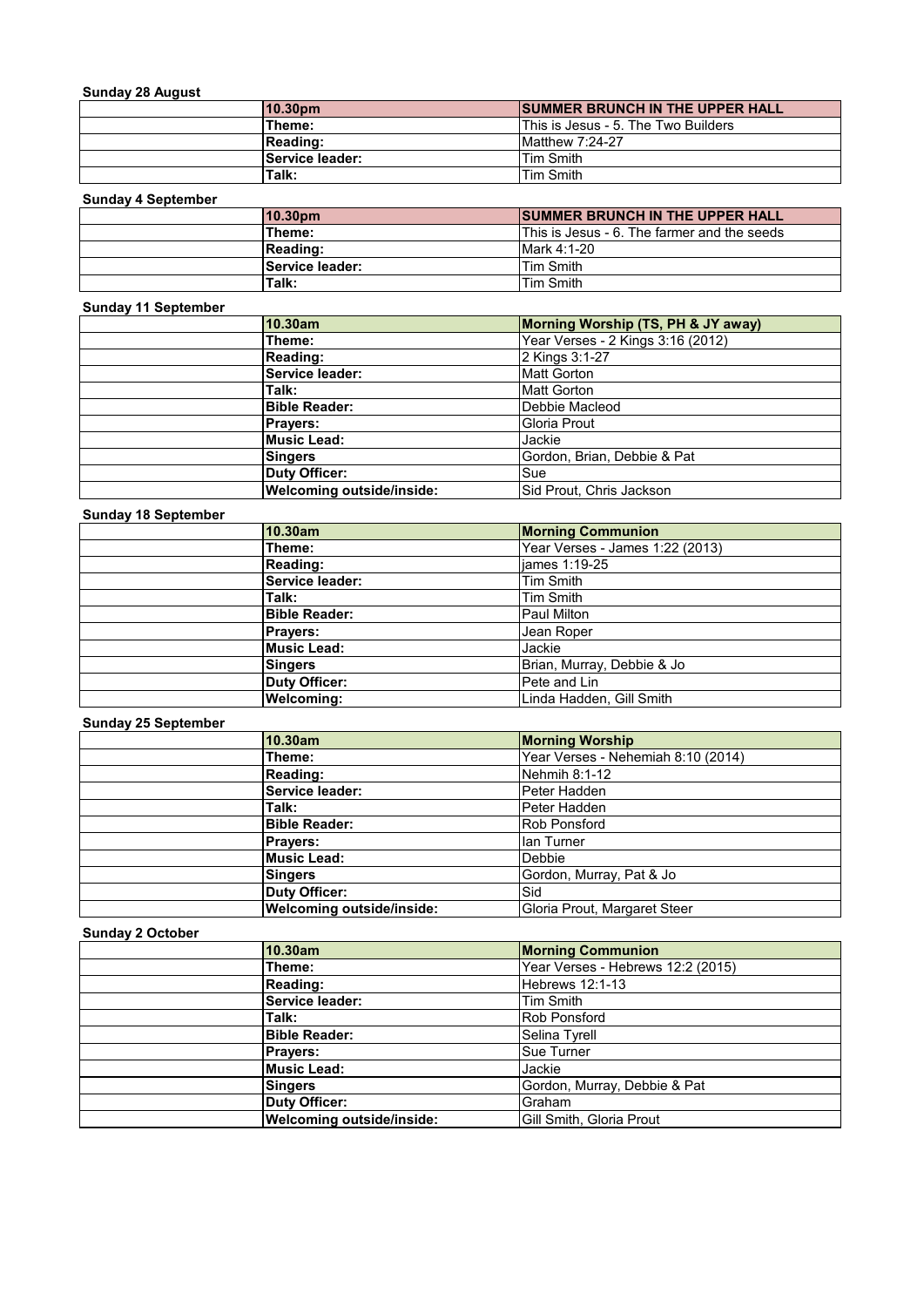# **Sunday 28 August**

| <b>Juliuay 20 August</b> |                  |                                         |
|--------------------------|------------------|-----------------------------------------|
|                          | 10.30pm          | <b>ISUMMER BRUNCH IN THE UPPER HALL</b> |
|                          | Theme:           | This is Jesus - 5. The Two Builders     |
|                          | <b>IReading:</b> | $M$ atthew 7:24-27                      |
|                          | Service leader:  | Tim Smith                               |
|                          | Talk:            | Tim Smith                               |

# **Sunday 4 September**

| 10.30 <sub>pm</sub> | <b>SUMMER BRUNCH IN THE UPPER HALL</b>      |
|---------------------|---------------------------------------------|
| Theme:              | This is Jesus - 6. The farmer and the seeds |
| Reading:            | Mark 4:1-20                                 |
| Service leader:     | Tim Smith                                   |
| Talk:               | Tim Smith                                   |

# **Sunday 11 September**

| 10.30am                          | Morning Worship (TS, PH & JY away) |
|----------------------------------|------------------------------------|
| Theme:                           | Year Verses - 2 Kings 3:16 (2012)  |
| Reading:                         | 2 Kings 3:1-27                     |
| Service leader:                  | <b>Matt Gorton</b>                 |
| Talk:                            | <b>Matt Gorton</b>                 |
| <b>Bible Reader:</b>             | Debbie Macleod                     |
| <b>Prayers:</b>                  | Gloria Prout                       |
| <b>Music Lead:</b>               | Jackie                             |
| <b>Singers</b>                   | Gordon, Brian, Debbie & Pat        |
| <b>Duty Officer:</b>             | Sue                                |
| <b>Welcoming outside/inside:</b> | Sid Prout, Chris Jackson           |

# **Sunday 18 September**

| 10.30am              | <b>Morning Communion</b>        |
|----------------------|---------------------------------|
| Theme:               | Year Verses - James 1:22 (2013) |
| Reading:             | james 1:19-25                   |
| Service leader:      | Tim Smith                       |
| Talk:                | Tim Smith                       |
| <b>Bible Reader:</b> | <b>Paul Milton</b>              |
| <b>Prayers:</b>      | Jean Roper                      |
| <b>Music Lead:</b>   | Jackie                          |
| Singers              | Brian, Murray, Debbie & Jo      |
| <b>Duty Officer:</b> | Pete and Lin                    |
| <b>Welcoming:</b>    | Linda Hadden, Gill Smith        |

# **Sunday 25 September**

| 10.30am                          | <b>Morning Worship</b>             |
|----------------------------------|------------------------------------|
| Theme:                           | Year Verses - Nehemiah 8:10 (2014) |
| Reading:                         | Nehmih 8:1-12                      |
| Service leader:                  | Peter Hadden                       |
| Talk:                            | Peter Hadden                       |
| <b>Bible Reader:</b>             | <b>Rob Ponsford</b>                |
| <b>Prayers:</b>                  | lan Turner                         |
| <b>Music Lead:</b>               | Debbie                             |
| <b>Singers</b>                   | Gordon, Murray, Pat & Jo           |
| Duty Officer:                    | Sid                                |
| <b>Welcoming outside/inside:</b> | Gloria Prout, Margaret Steer       |

# **Sunday 2 October**

| 10.30am                          | <b>Morning Communion</b>          |
|----------------------------------|-----------------------------------|
| Theme:                           | Year Verses - Hebrews 12:2 (2015) |
| Reading:                         | Hebrews 12:1-13                   |
| Service leader:                  | Tim Smith                         |
| Talk:                            | <b>Rob Ponsford</b>               |
| <b>Bible Reader:</b>             | Selina Tyrell                     |
| <b>Prayers:</b>                  | <b>Sue Turner</b>                 |
| <b>Music Lead:</b>               | Jackie                            |
| <b>Singers</b>                   | Gordon, Murray, Debbie & Pat      |
| <b>Duty Officer:</b>             | Graham                            |
| <b>Welcoming outside/inside:</b> | Gill Smith, Gloria Prout          |